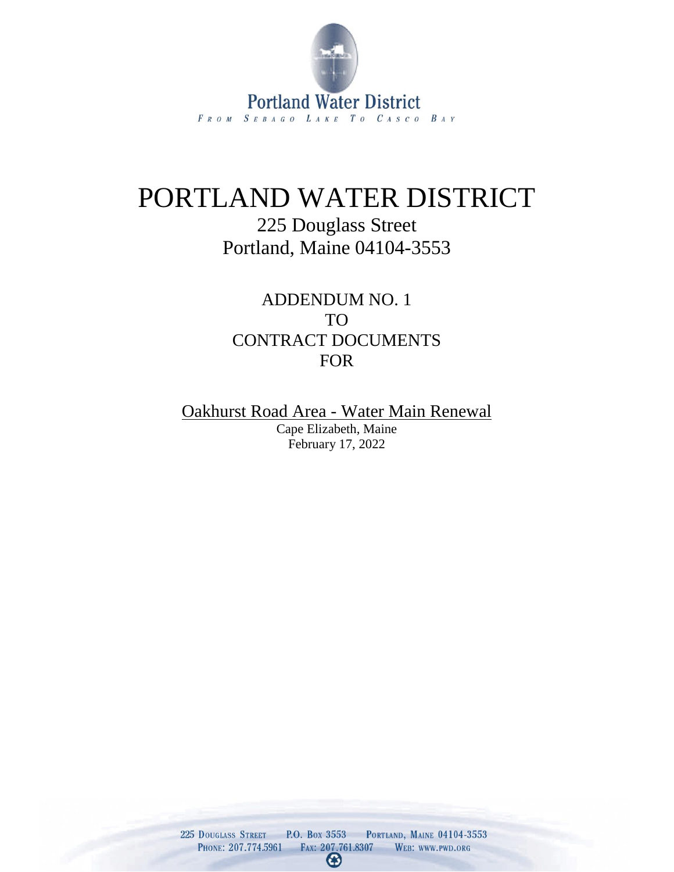

## PORTLAND WATER DISTRICT

## 225 Douglass Street Portland, Maine 04104-3553

ADDENDUM NO. 1 TO CONTRACT DOCUMENTS FOR

Oakhurst Road Area - Water Main Renewal Cape Elizabeth, Maine February 17, 2022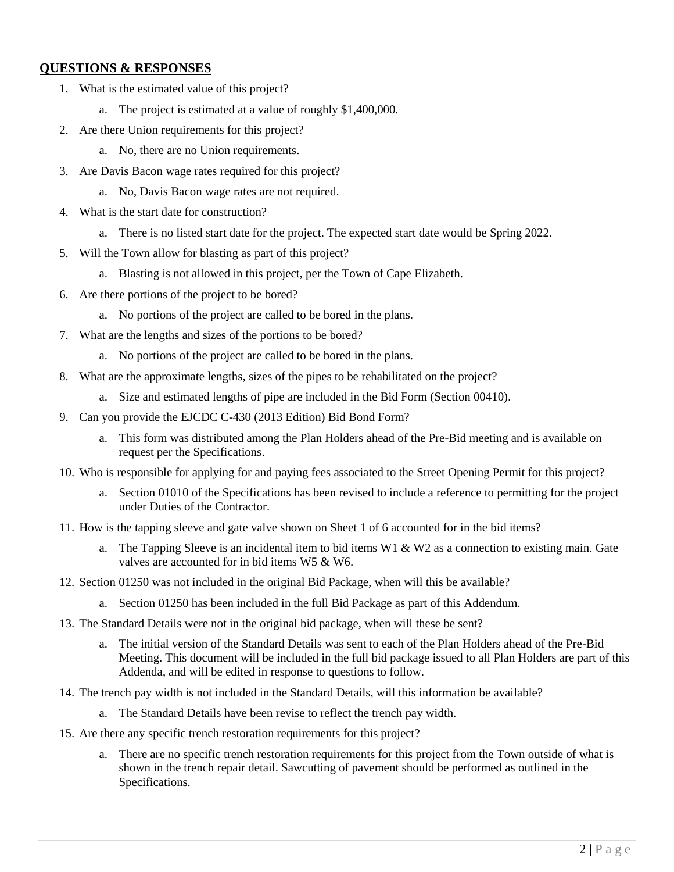#### **QUESTIONS & RESPONSES**

- 1. What is the estimated value of this project?
	- a. The project is estimated at a value of roughly \$1,400,000.
- 2. Are there Union requirements for this project?
	- a. No, there are no Union requirements.
- 3. Are Davis Bacon wage rates required for this project?
	- a. No, Davis Bacon wage rates are not required.
- 4. What is the start date for construction?
	- a. There is no listed start date for the project. The expected start date would be Spring 2022.
- 5. Will the Town allow for blasting as part of this project?
	- a. Blasting is not allowed in this project, per the Town of Cape Elizabeth.
- 6. Are there portions of the project to be bored?
	- a. No portions of the project are called to be bored in the plans.
- 7. What are the lengths and sizes of the portions to be bored?
	- a. No portions of the project are called to be bored in the plans.
- 8. What are the approximate lengths, sizes of the pipes to be rehabilitated on the project?
	- a. Size and estimated lengths of pipe are included in the Bid Form (Section 00410).
- 9. Can you provide the EJCDC C-430 (2013 Edition) Bid Bond Form?
	- a. This form was distributed among the Plan Holders ahead of the Pre-Bid meeting and is available on request per the Specifications.
- 10. Who is responsible for applying for and paying fees associated to the Street Opening Permit for this project?
	- a. Section 01010 of the Specifications has been revised to include a reference to permitting for the project under Duties of the Contractor.
- 11. How is the tapping sleeve and gate valve shown on Sheet 1 of 6 accounted for in the bid items?
	- a. The Tapping Sleeve is an incidental item to bid items  $W1 \& W2$  as a connection to existing main. Gate valves are accounted for in bid items W5 & W6.
- 12. Section 01250 was not included in the original Bid Package, when will this be available?
	- a. Section 01250 has been included in the full Bid Package as part of this Addendum.
- 13. The Standard Details were not in the original bid package, when will these be sent?
	- a. The initial version of the Standard Details was sent to each of the Plan Holders ahead of the Pre-Bid Meeting. This document will be included in the full bid package issued to all Plan Holders are part of this Addenda, and will be edited in response to questions to follow.
- 14. The trench pay width is not included in the Standard Details, will this information be available?
	- a. The Standard Details have been revise to reflect the trench pay width.
- 15. Are there any specific trench restoration requirements for this project?
	- a. There are no specific trench restoration requirements for this project from the Town outside of what is shown in the trench repair detail. Sawcutting of pavement should be performed as outlined in the Specifications.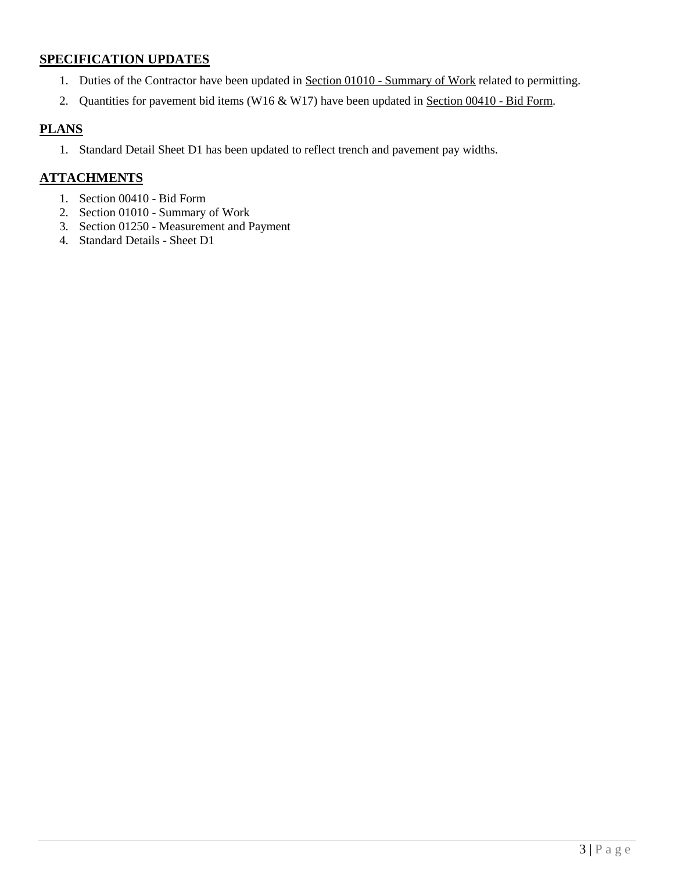### **SPECIFICATION UPDATES**

- 1. Duties of the Contractor have been updated in Section 01010 Summary of Work related to permitting.
- 2. Quantities for pavement bid items (W16 & W17) have been updated in Section 00410 Bid Form.

### **PLANS**

1. Standard Detail Sheet D1 has been updated to reflect trench and pavement pay widths.

### **ATTACHMENTS**

- 1. Section 00410 Bid Form
- 2. Section 01010 Summary of Work
- 3. Section 01250 Measurement and Payment
- 4. Standard Details Sheet D1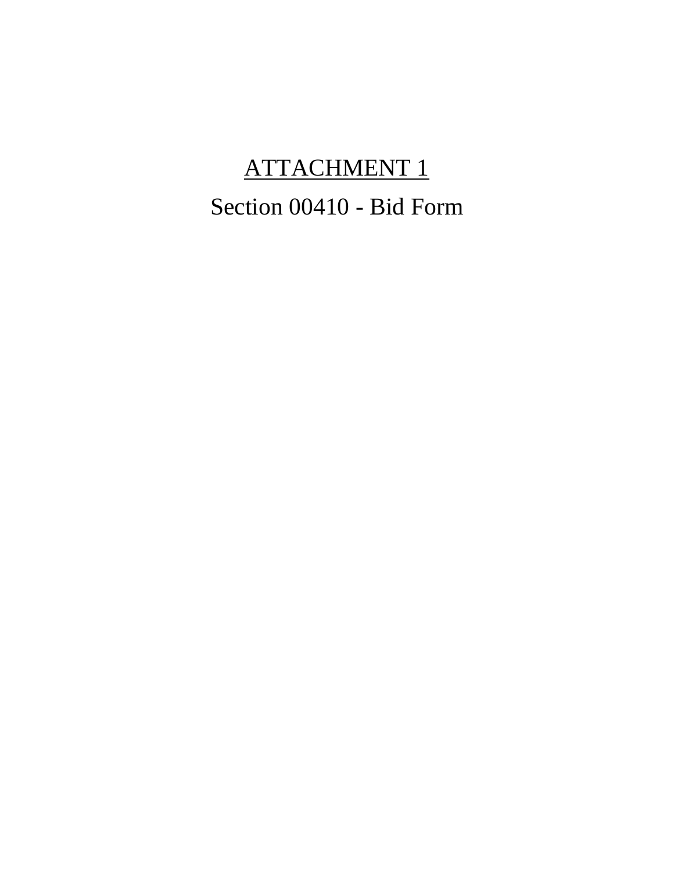# ATTACHMENT 1 Section 00410 - Bid Form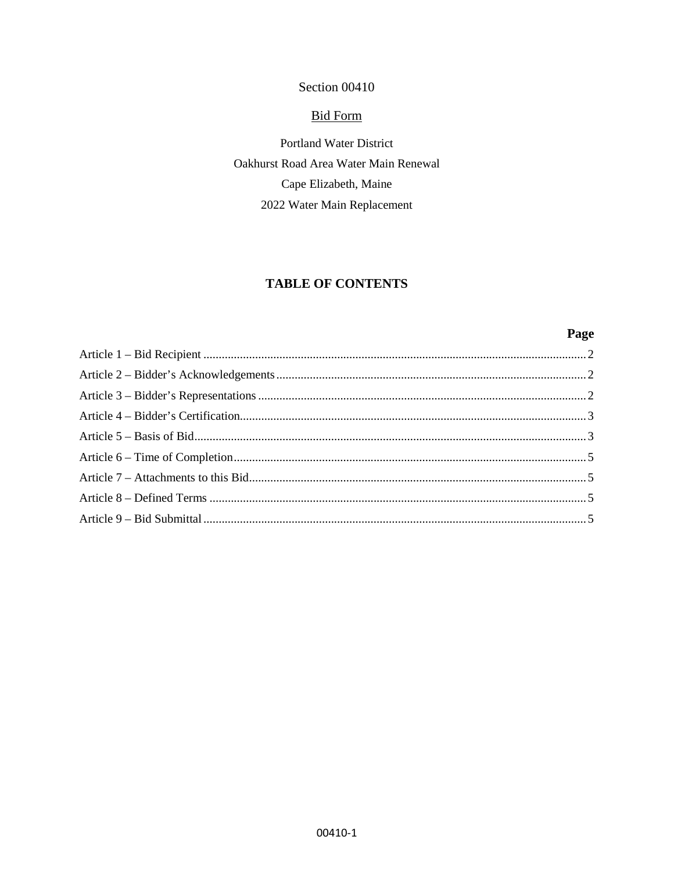### Section 00410

#### **Bid Form**

Portland Water District Oakhurst Road Area Water Main Renewal Cape Elizabeth, Maine 2022 Water Main Replacement

### **TABLE OF CONTENTS**

### Page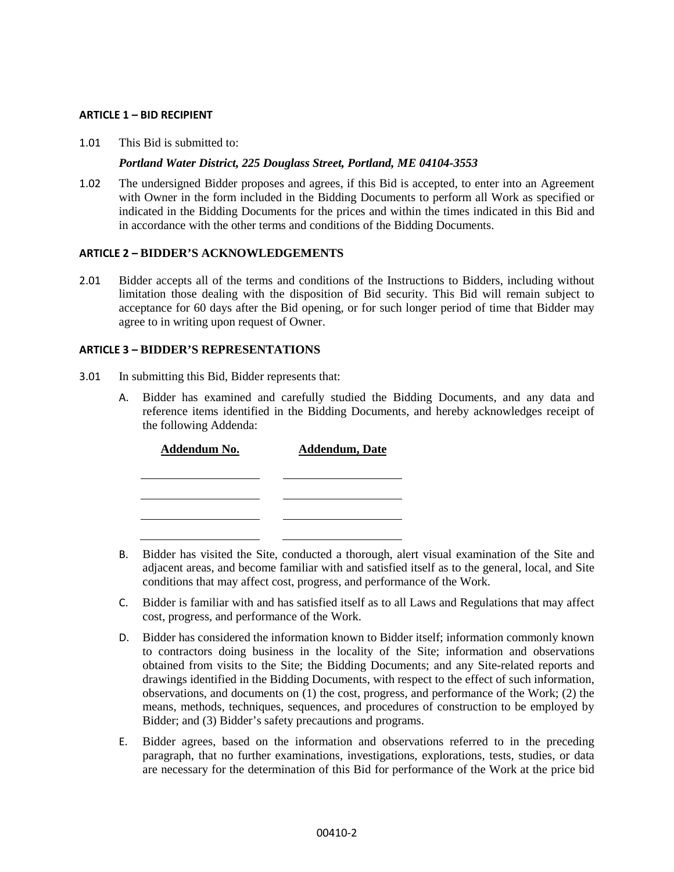#### <span id="page-5-0"></span>**ARTICLE 1 – BID RECIPIENT**

1.01 This Bid is submitted to:

#### *Portland Water District, 225 Douglass Street, Portland, ME 04104-3553*

1.02 The undersigned Bidder proposes and agrees, if this Bid is accepted, to enter into an Agreement with Owner in the form included in the Bidding Documents to perform all Work as specified or indicated in the Bidding Documents for the prices and within the times indicated in this Bid and in accordance with the other terms and conditions of the Bidding Documents.

#### <span id="page-5-1"></span>**ARTICLE 2 – BIDDER'S ACKNOWLEDGEMENTS**

2.01 Bidder accepts all of the terms and conditions of the Instructions to Bidders, including without limitation those dealing with the disposition of Bid security. This Bid will remain subject to acceptance for 60 days after the Bid opening, or for such longer period of time that Bidder may agree to in writing upon request of Owner.

#### <span id="page-5-2"></span>**ARTICLE 3 – BIDDER'S REPRESENTATIONS**

- 3.01 In submitting this Bid, Bidder represents that:
	- A. Bidder has examined and carefully studied the Bidding Documents, and any data and reference items identified in the Bidding Documents, and hereby acknowledges receipt of the following Addenda:

| Addendum No. | <b>Addendum</b> , Date |  |  |  |  |
|--------------|------------------------|--|--|--|--|
|              |                        |  |  |  |  |
|              |                        |  |  |  |  |
|              |                        |  |  |  |  |

- B. Bidder has visited the Site, conducted a thorough, alert visual examination of the Site and adjacent areas, and become familiar with and satisfied itself as to the general, local, and Site conditions that may affect cost, progress, and performance of the Work.
- C. Bidder is familiar with and has satisfied itself as to all Laws and Regulations that may affect cost, progress, and performance of the Work.
- D. Bidder has considered the information known to Bidder itself; information commonly known to contractors doing business in the locality of the Site; information and observations obtained from visits to the Site; the Bidding Documents; and any Site-related reports and drawings identified in the Bidding Documents, with respect to the effect of such information, observations, and documents on (1) the cost, progress, and performance of the Work; (2) the means, methods, techniques, sequences, and procedures of construction to be employed by Bidder; and (3) Bidder's safety precautions and programs.
- E. Bidder agrees, based on the information and observations referred to in the preceding paragraph, that no further examinations, investigations, explorations, tests, studies, or data are necessary for the determination of this Bid for performance of the Work at the price bid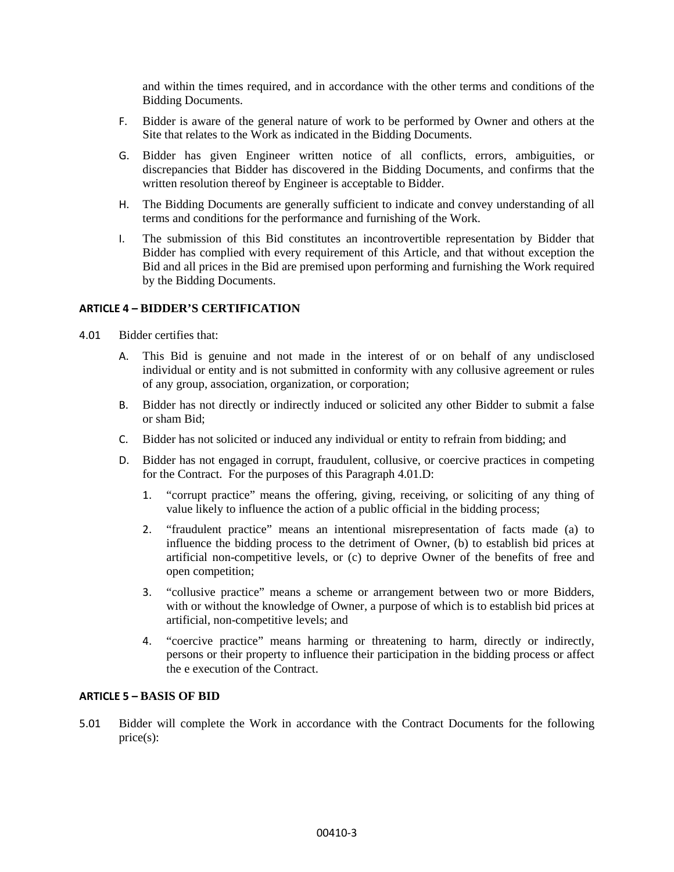and within the times required, and in accordance with the other terms and conditions of the Bidding Documents.

- F. Bidder is aware of the general nature of work to be performed by Owner and others at the Site that relates to the Work as indicated in the Bidding Documents.
- G. Bidder has given Engineer written notice of all conflicts, errors, ambiguities, or discrepancies that Bidder has discovered in the Bidding Documents, and confirms that the written resolution thereof by Engineer is acceptable to Bidder.
- H. The Bidding Documents are generally sufficient to indicate and convey understanding of all terms and conditions for the performance and furnishing of the Work.
- I. The submission of this Bid constitutes an incontrovertible representation by Bidder that Bidder has complied with every requirement of this Article, and that without exception the Bid and all prices in the Bid are premised upon performing and furnishing the Work required by the Bidding Documents.

#### <span id="page-6-0"></span>**ARTICLE 4 – BIDDER'S CERTIFICATION**

- 4.01 Bidder certifies that:
	- A. This Bid is genuine and not made in the interest of or on behalf of any undisclosed individual or entity and is not submitted in conformity with any collusive agreement or rules of any group, association, organization, or corporation;
	- B. Bidder has not directly or indirectly induced or solicited any other Bidder to submit a false or sham Bid;
	- C. Bidder has not solicited or induced any individual or entity to refrain from bidding; and
	- D. Bidder has not engaged in corrupt, fraudulent, collusive, or coercive practices in competing for the Contract. For the purposes of this Paragraph 4.01.D:
		- 1. "corrupt practice" means the offering, giving, receiving, or soliciting of any thing of value likely to influence the action of a public official in the bidding process;
		- 2. "fraudulent practice" means an intentional misrepresentation of facts made (a) to influence the bidding process to the detriment of Owner, (b) to establish bid prices at artificial non-competitive levels, or (c) to deprive Owner of the benefits of free and open competition;
		- 3. "collusive practice" means a scheme or arrangement between two or more Bidders, with or without the knowledge of Owner, a purpose of which is to establish bid prices at artificial, non-competitive levels; and
		- 4. "coercive practice" means harming or threatening to harm, directly or indirectly, persons or their property to influence their participation in the bidding process or affect the e execution of the Contract.

#### <span id="page-6-1"></span>**ARTICLE 5 – BASIS OF BID**

5.01 Bidder will complete the Work in accordance with the Contract Documents for the following price(s):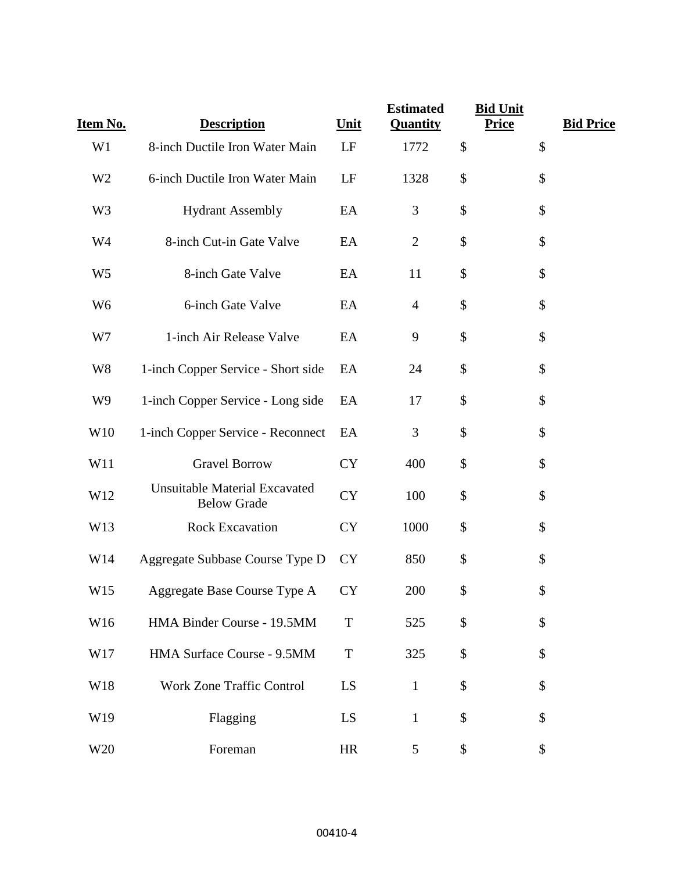| Item No.        | <b>Description</b>                                         | <b>Unit</b> | <b>Estimated</b><br><b>Quantity</b> | <b>Bid Unit</b><br><b>Bid Price</b><br><b>Price</b> |
|-----------------|------------------------------------------------------------|-------------|-------------------------------------|-----------------------------------------------------|
| W1              | 8-inch Ductile Iron Water Main                             | LF          | 1772                                | \$<br>\$                                            |
| W <sub>2</sub>  | 6-inch Ductile Iron Water Main                             | LF          | 1328                                | \$<br>\$                                            |
| W <sub>3</sub>  | <b>Hydrant Assembly</b>                                    | EA          | 3                                   | \$<br>\$                                            |
| W <sub>4</sub>  | 8-inch Cut-in Gate Valve                                   | EA          | $\mathbf{2}$                        | \$<br>\$                                            |
| W <sub>5</sub>  | 8-inch Gate Valve                                          | EA          | 11                                  | \$<br>\$                                            |
| W <sub>6</sub>  | 6-inch Gate Valve                                          | EA          | $\overline{4}$                      | \$<br>\$                                            |
| W7              | 1-inch Air Release Valve                                   | EA          | 9                                   | \$<br>\$                                            |
| W <sub>8</sub>  | 1-inch Copper Service - Short side                         | EA          | 24                                  | \$<br>\$                                            |
| W <sub>9</sub>  | 1-inch Copper Service - Long side                          | EA          | 17                                  | \$<br>\$                                            |
| W10             | 1-inch Copper Service - Reconnect                          | EA          | 3                                   | \$<br>\$                                            |
| W11             | <b>Gravel Borrow</b>                                       | <b>CY</b>   | 400                                 | \$<br>\$                                            |
| W12             | <b>Unsuitable Material Excavated</b><br><b>Below Grade</b> | <b>CY</b>   | 100                                 | \$<br>\$                                            |
| W13             | <b>Rock Excavation</b>                                     | <b>CY</b>   | 1000                                | \$<br>\$                                            |
| W14             | Aggregate Subbase Course Type D                            | <b>CY</b>   | 850                                 | \$<br>\$                                            |
| W15             | Aggregate Base Course Type A                               | <b>CY</b>   | 200                                 | \$<br>\$                                            |
| W16             | HMA Binder Course - 19.5MM                                 | $\mathbf T$ | 525                                 | \$<br>\$                                            |
| W17             | HMA Surface Course - 9.5MM                                 | $\mathbf T$ | 325                                 | \$<br>\$                                            |
| W18             | <b>Work Zone Traffic Control</b>                           | LS          | $\mathbf{1}$                        | \$<br>\$                                            |
| W19             | Flagging                                                   | LS          | $\mathbf{1}$                        | \$<br>\$                                            |
| W <sub>20</sub> | Foreman                                                    | HR          | $5\overline{)}$                     | \$<br>\$                                            |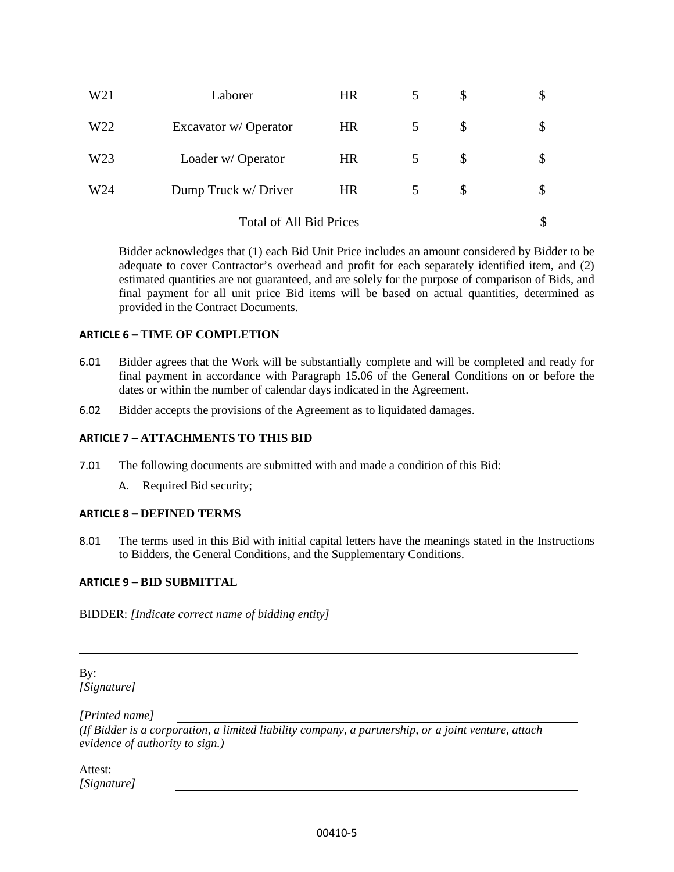| W <sub>21</sub>                | Laborer              | <b>HR</b> |   | \$ | \$ |  |
|--------------------------------|----------------------|-----------|---|----|----|--|
| W22                            | Excavator w/Operator | <b>HR</b> | 5 | \$ |    |  |
| W <sub>23</sub>                | Loader w/Operator    | <b>HR</b> | 5 | \$ | \$ |  |
| W24                            | Dump Truck w/ Driver | <b>HR</b> |   | \$ |    |  |
| <b>Total of All Bid Prices</b> |                      |           |   |    |    |  |

Bidder acknowledges that (1) each Bid Unit Price includes an amount considered by Bidder to be adequate to cover Contractor's overhead and profit for each separately identified item, and (2) estimated quantities are not guaranteed, and are solely for the purpose of comparison of Bids, and final payment for all unit price Bid items will be based on actual quantities, determined as provided in the Contract Documents.

#### <span id="page-8-0"></span>**ARTICLE 6 – TIME OF COMPLETION**

- 6.01 Bidder agrees that the Work will be substantially complete and will be completed and ready for final payment in accordance with Paragraph 15.06 of the General Conditions on or before the dates or within the number of calendar days indicated in the Agreement.
- 6.02 Bidder accepts the provisions of the Agreement as to liquidated damages.

#### <span id="page-8-1"></span>**ARTICLE 7 – ATTACHMENTS TO THIS BID**

- 7.01 The following documents are submitted with and made a condition of this Bid:
	- A. Required Bid security;

#### <span id="page-8-2"></span>**ARTICLE 8 – DEFINED TERMS**

8.01 The terms used in this Bid with initial capital letters have the meanings stated in the Instructions to Bidders, the General Conditions, and the Supplementary Conditions.

#### <span id="page-8-3"></span>**ARTICLE 9 – BID SUBMITTAL**

BIDDER: *[Indicate correct name of bidding entity]*

By: *[Signature]* 

*[Printed name]* 

*(If Bidder is a corporation, a limited liability company, a partnership, or a joint venture, attach evidence of authority to sign.)* 

Attest: *[Signature]*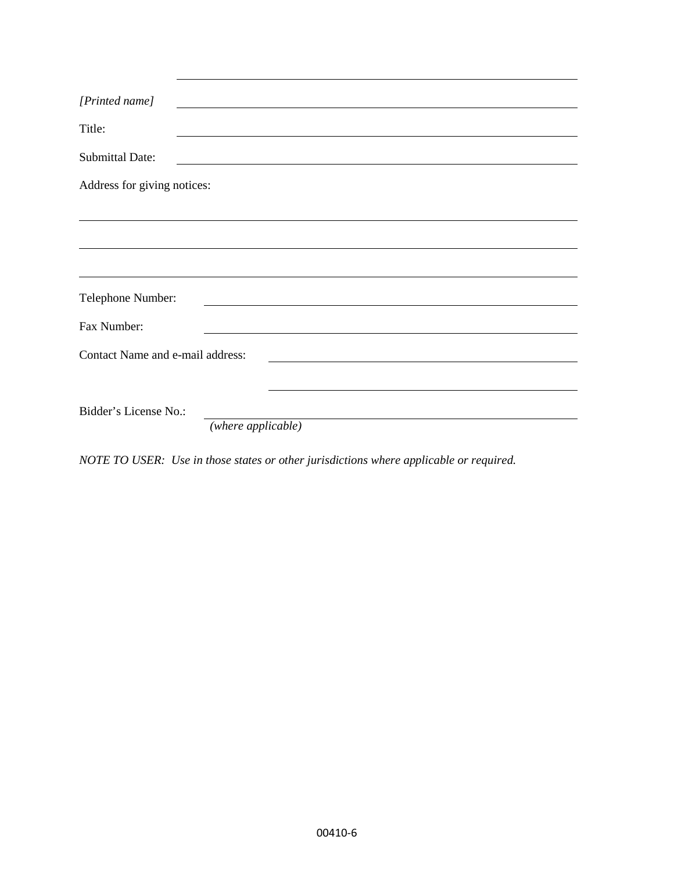| [Printed name]                   |                                                                                                                        |
|----------------------------------|------------------------------------------------------------------------------------------------------------------------|
| Title:                           | <u> 1989 - Johann Barn, mars ann an t-Amhain ann an t-Amhain ann an t-Amhain ann an t-Amhain an t-Amhain ann an t-</u> |
| <b>Submittal Date:</b>           |                                                                                                                        |
| Address for giving notices:      |                                                                                                                        |
|                                  |                                                                                                                        |
|                                  |                                                                                                                        |
| Telephone Number:                | <u> 1989 - Johann Stein, mars ann an Catharin ann an t-</u>                                                            |
| Fax Number:                      | the control of the control of the control of the control of the control of the control of                              |
| Contact Name and e-mail address: |                                                                                                                        |
|                                  |                                                                                                                        |
| Bidder's License No.:            | (where applicable)                                                                                                     |
|                                  |                                                                                                                        |

*NOTE TO USER: Use in those states or other jurisdictions where applicable or required.*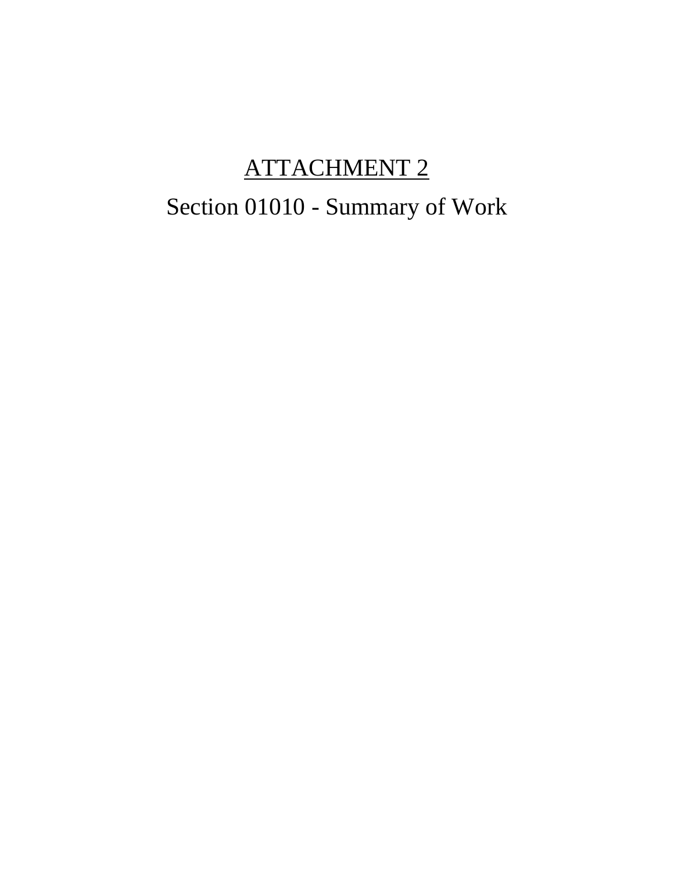## ATTACHMENT 2

## Section 01010 - Summary of Work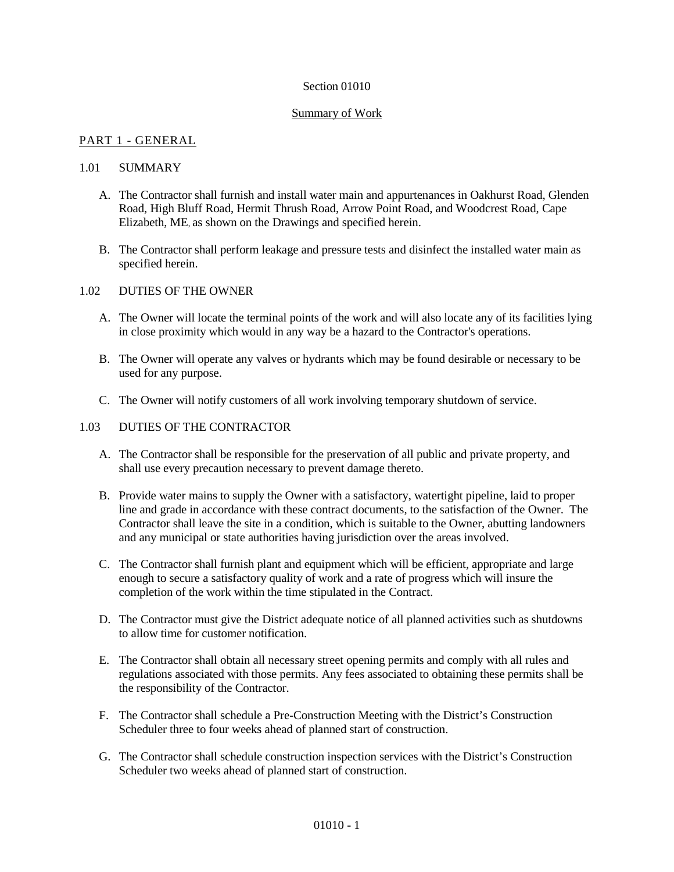#### Section 01010

#### Summary of Work

#### PART 1 - GENERAL

#### 1.01 SUMMARY

- A. The Contractor shall furnish and install water main and appurtenances in Oakhurst Road, Glenden Road, High Bluff Road, Hermit Thrush Road, Arrow Point Road, and Woodcrest Road, Cape Elizabeth, ME, as shown on the Drawings and specified herein.
- B. The Contractor shall perform leakage and pressure tests and disinfect the installed water main as specified herein.

#### 1.02 DUTIES OF THE OWNER

- A. The Owner will locate the terminal points of the work and will also locate any of its facilities lying in close proximity which would in any way be a hazard to the Contractor's operations.
- B. The Owner will operate any valves or hydrants which may be found desirable or necessary to be used for any purpose.
- C. The Owner will notify customers of all work involving temporary shutdown of service.

#### 1.03 DUTIES OF THE CONTRACTOR

- A. The Contractor shall be responsible for the preservation of all public and private property, and shall use every precaution necessary to prevent damage thereto.
- B. Provide water mains to supply the Owner with a satisfactory, watertight pipeline, laid to proper line and grade in accordance with these contract documents, to the satisfaction of the Owner. The Contractor shall leave the site in a condition, which is suitable to the Owner, abutting landowners and any municipal or state authorities having jurisdiction over the areas involved.
- C. The Contractor shall furnish plant and equipment which will be efficient, appropriate and large enough to secure a satisfactory quality of work and a rate of progress which will insure the completion of the work within the time stipulated in the Contract.
- D. The Contractor must give the District adequate notice of all planned activities such as shutdowns to allow time for customer notification.
- E. The Contractor shall obtain all necessary street opening permits and comply with all rules and regulations associated with those permits. Any fees associated to obtaining these permits shall be the responsibility of the Contractor.
- F. The Contractor shall schedule a Pre-Construction Meeting with the District's Construction Scheduler three to four weeks ahead of planned start of construction.
- G. The Contractor shall schedule construction inspection services with the District's Construction Scheduler two weeks ahead of planned start of construction.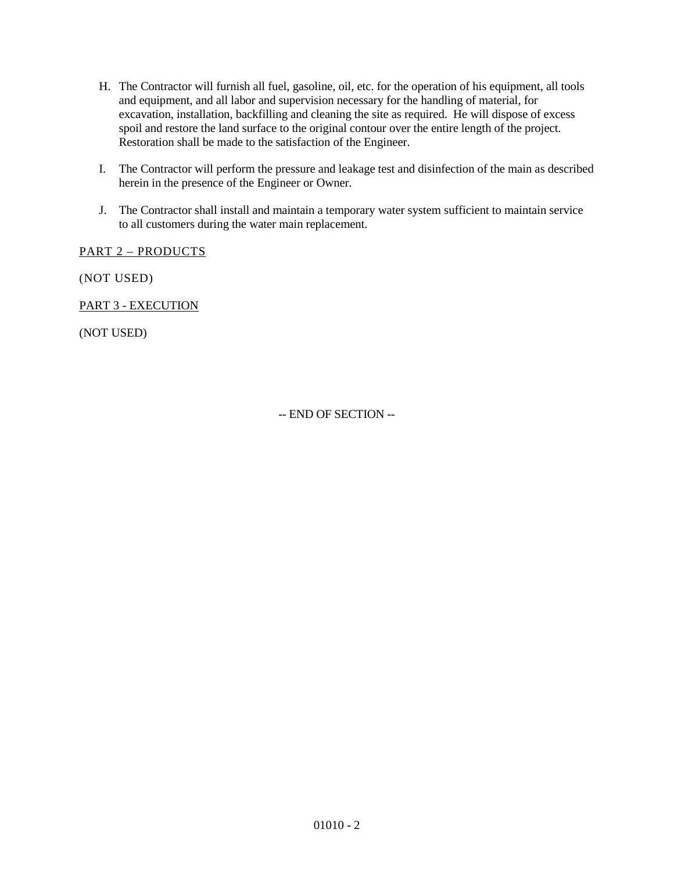- H. The Contractor will furnish all fuel, gasoline, oil, etc. for the operation of his equipment, all tools and equipment, and all labor and supervision necessary for the handling of material, for excavation, installation, backfilling and cleaning the site as required. He will dispose of excess spoil and restore the land surface to the original contour over the entire length of the project. Restoration shall be made to the satisfaction of the Engineer.
- I. The Contractor will perform the pressure and leakage test and disinfection of the main as described herein in the presence of the Engineer or Owner.
- J. The Contractor shall install and maintain a temporary water system sufficient to maintain service to all customers during the water main replacement.

PART 2 – PRODUCTS

(NOT USED)

PART 3 - EXECUTION

(NOT USED)

-- END OF SECTION --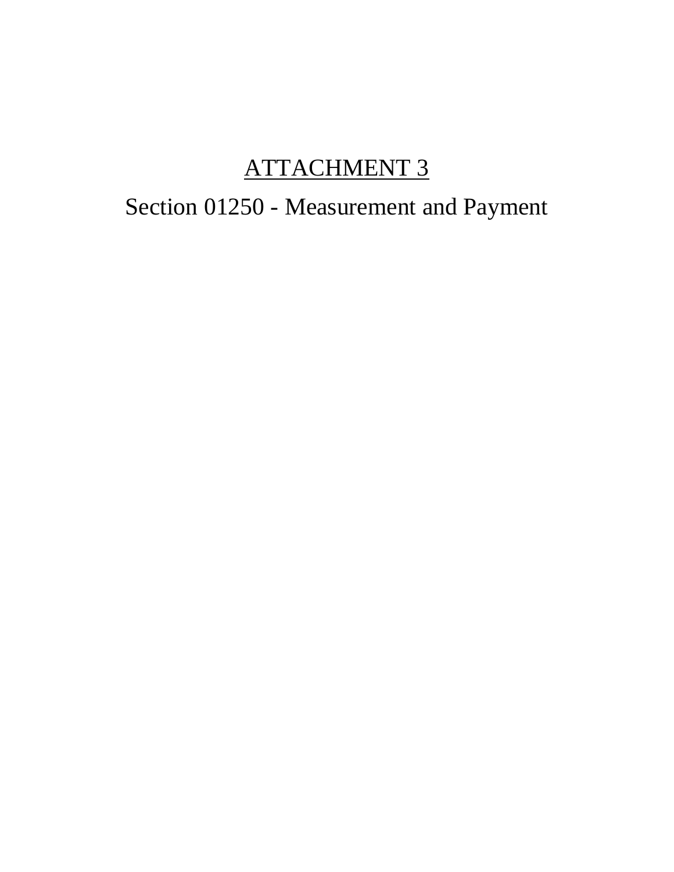## ATTACHMENT 3

# Section 01250 - Measurement and Payment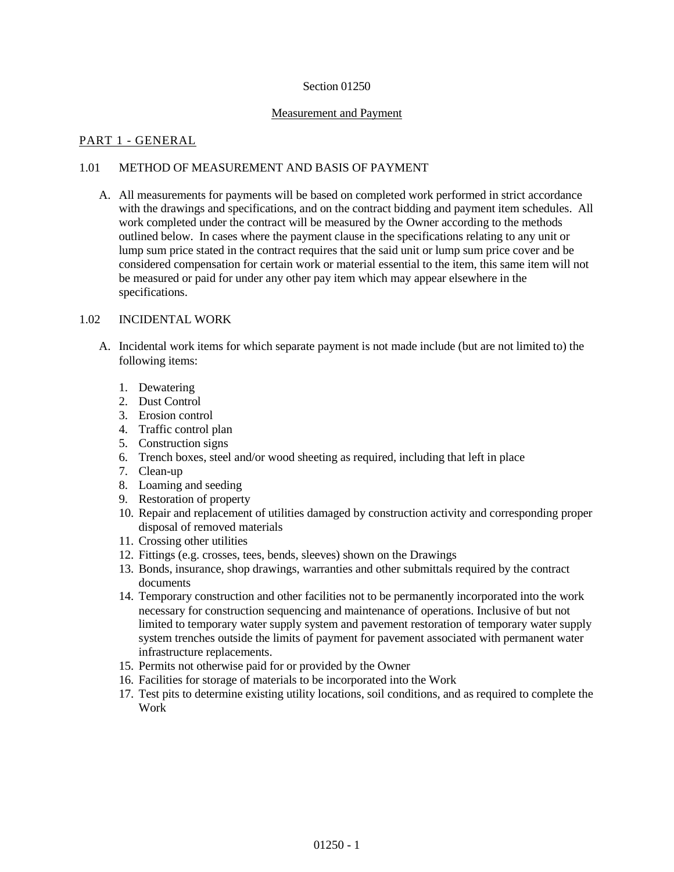#### Section 01250

#### Measurement and Payment

#### PART 1 - GENERAL

#### 1.01 METHOD OF MEASUREMENT AND BASIS OF PAYMENT

A. All measurements for payments will be based on completed work performed in strict accordance with the drawings and specifications, and on the contract bidding and payment item schedules. All work completed under the contract will be measured by the Owner according to the methods outlined below. In cases where the payment clause in the specifications relating to any unit or lump sum price stated in the contract requires that the said unit or lump sum price cover and be considered compensation for certain work or material essential to the item, this same item will not be measured or paid for under any other pay item which may appear elsewhere in the specifications.

#### 1.02 INCIDENTAL WORK

- A. Incidental work items for which separate payment is not made include (but are not limited to) the following items:
	- 1. Dewatering
	- 2. Dust Control
	- 3. Erosion control
	- 4. Traffic control plan
	- 5. Construction signs
	- 6. Trench boxes, steel and/or wood sheeting as required, including that left in place
	- 7. Clean-up
	- 8. Loaming and seeding
	- 9. Restoration of property
	- 10. Repair and replacement of utilities damaged by construction activity and corresponding proper disposal of removed materials
	- 11. Crossing other utilities
	- 12. Fittings (e.g. crosses, tees, bends, sleeves) shown on the Drawings
	- 13. Bonds, insurance, shop drawings, warranties and other submittals required by the contract documents
	- 14. Temporary construction and other facilities not to be permanently incorporated into the work necessary for construction sequencing and maintenance of operations. Inclusive of but not limited to temporary water supply system and pavement restoration of temporary water supply system trenches outside the limits of payment for pavement associated with permanent water infrastructure replacements.
	- 15. Permits not otherwise paid for or provided by the Owner
	- 16. Facilities for storage of materials to be incorporated into the Work
	- 17. Test pits to determine existing utility locations, soil conditions, and as required to complete the Work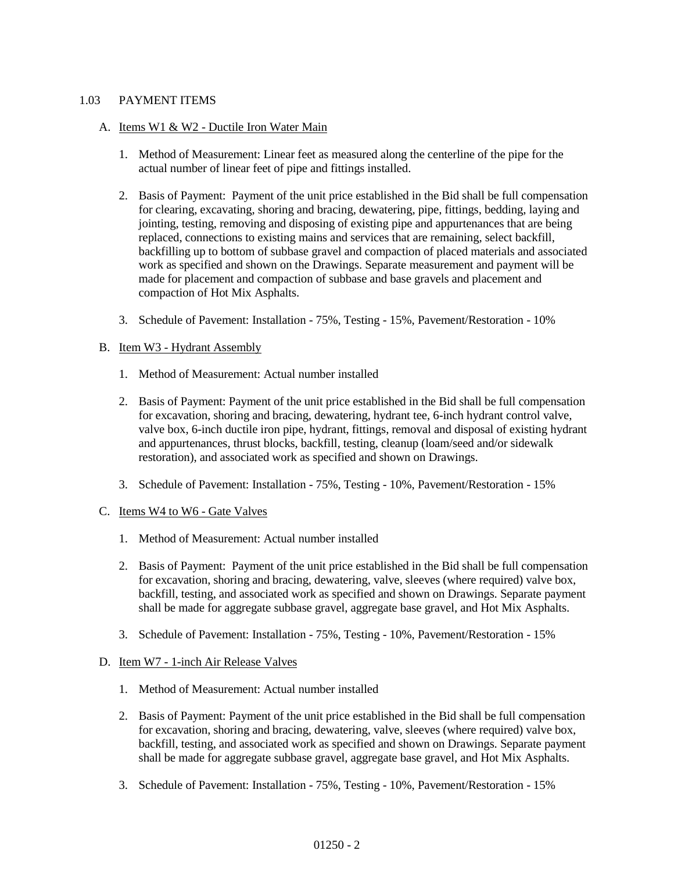#### 1.03 PAYMENT ITEMS

#### A. Items W1 & W2 - Ductile Iron Water Main

- 1. Method of Measurement: Linear feet as measured along the centerline of the pipe for the actual number of linear feet of pipe and fittings installed.
- 2. Basis of Payment: Payment of the unit price established in the Bid shall be full compensation for clearing, excavating, shoring and bracing, dewatering, pipe, fittings, bedding, laying and jointing, testing, removing and disposing of existing pipe and appurtenances that are being replaced, connections to existing mains and services that are remaining, select backfill, backfilling up to bottom of subbase gravel and compaction of placed materials and associated work as specified and shown on the Drawings. Separate measurement and payment will be made for placement and compaction of subbase and base gravels and placement and compaction of Hot Mix Asphalts.
- 3. Schedule of Pavement: Installation 75%, Testing 15%, Pavement/Restoration 10%

#### B. Item W3 - Hydrant Assembly

- 1. Method of Measurement: Actual number installed
- 2. Basis of Payment: Payment of the unit price established in the Bid shall be full compensation for excavation, shoring and bracing, dewatering, hydrant tee, 6-inch hydrant control valve, valve box, 6-inch ductile iron pipe, hydrant, fittings, removal and disposal of existing hydrant and appurtenances, thrust blocks, backfill, testing, cleanup (loam/seed and/or sidewalk restoration), and associated work as specified and shown on Drawings.
- 3. Schedule of Pavement: Installation 75%, Testing 10%, Pavement/Restoration 15%
- C. Items W4 to W6 Gate Valves
	- 1. Method of Measurement: Actual number installed
	- 2. Basis of Payment: Payment of the unit price established in the Bid shall be full compensation for excavation, shoring and bracing, dewatering, valve, sleeves (where required) valve box, backfill, testing, and associated work as specified and shown on Drawings. Separate payment shall be made for aggregate subbase gravel, aggregate base gravel, and Hot Mix Asphalts.
	- 3. Schedule of Pavement: Installation 75%, Testing 10%, Pavement/Restoration 15%

#### D. Item W7 - 1-inch Air Release Valves

- 1. Method of Measurement: Actual number installed
- 2. Basis of Payment: Payment of the unit price established in the Bid shall be full compensation for excavation, shoring and bracing, dewatering, valve, sleeves (where required) valve box, backfill, testing, and associated work as specified and shown on Drawings. Separate payment shall be made for aggregate subbase gravel, aggregate base gravel, and Hot Mix Asphalts.
- 3. Schedule of Pavement: Installation 75%, Testing 10%, Pavement/Restoration 15%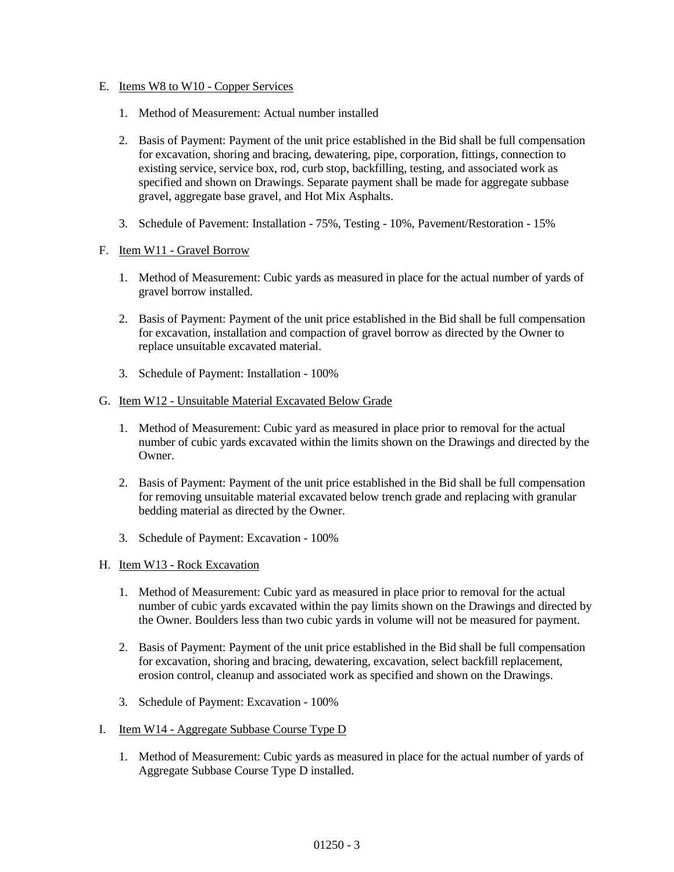#### E. Items W8 to W10 - Copper Services

- 1. Method of Measurement: Actual number installed
- 2. Basis of Payment: Payment of the unit price established in the Bid shall be full compensation for excavation, shoring and bracing, dewatering, pipe, corporation, fittings, connection to existing service, service box, rod, curb stop, backfilling, testing, and associated work as specified and shown on Drawings. Separate payment shall be made for aggregate subbase gravel, aggregate base gravel, and Hot Mix Asphalts.
- 3. Schedule of Pavement: Installation 75%, Testing 10%, Pavement/Restoration 15%

#### F. Item W11 - Gravel Borrow

- 1. Method of Measurement: Cubic yards as measured in place for the actual number of yards of gravel borrow installed.
- 2. Basis of Payment: Payment of the unit price established in the Bid shall be full compensation for excavation, installation and compaction of gravel borrow as directed by the Owner to replace unsuitable excavated material.
- 3. Schedule of Payment: Installation 100%

#### G. Item W12 - Unsuitable Material Excavated Below Grade

- 1. Method of Measurement: Cubic yard as measured in place prior to removal for the actual number of cubic yards excavated within the limits shown on the Drawings and directed by the Owner.
- 2. Basis of Payment: Payment of the unit price established in the Bid shall be full compensation for removing unsuitable material excavated below trench grade and replacing with granular bedding material as directed by the Owner.
- 3. Schedule of Payment: Excavation 100%
- H. Item W13 Rock Excavation
	- 1. Method of Measurement: Cubic yard as measured in place prior to removal for the actual number of cubic yards excavated within the pay limits shown on the Drawings and directed by the Owner. Boulders less than two cubic yards in volume will not be measured for payment.
	- 2. Basis of Payment: Payment of the unit price established in the Bid shall be full compensation for excavation, shoring and bracing, dewatering, excavation, select backfill replacement, erosion control, cleanup and associated work as specified and shown on the Drawings.
	- 3. Schedule of Payment: Excavation 100%
- I. Item W14 Aggregate Subbase Course Type D
	- 1. Method of Measurement: Cubic yards as measured in place for the actual number of yards of Aggregate Subbase Course Type D installed.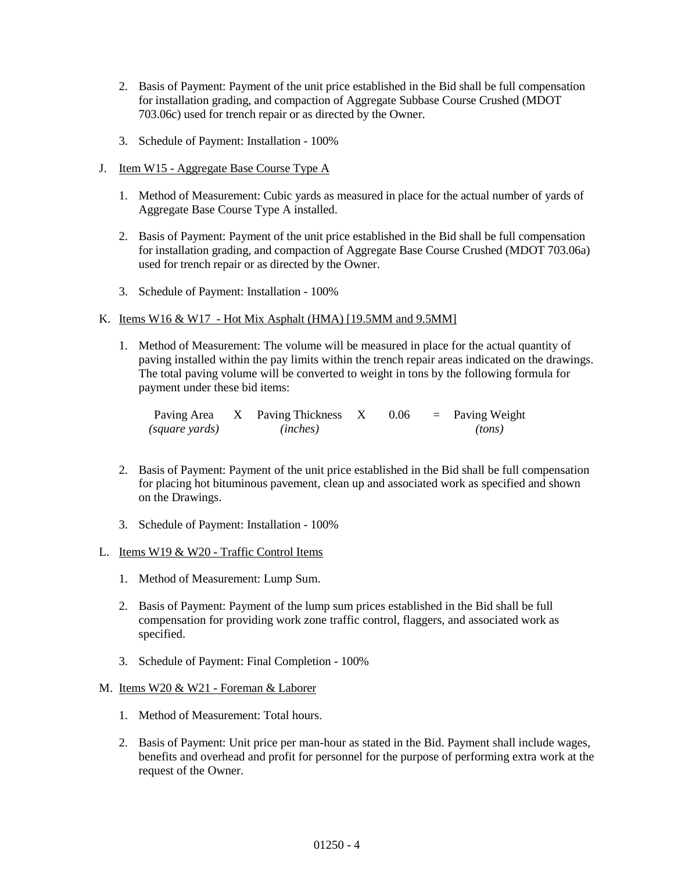- 2. Basis of Payment: Payment of the unit price established in the Bid shall be full compensation for installation grading, and compaction of Aggregate Subbase Course Crushed (MDOT 703.06c) used for trench repair or as directed by the Owner.
- 3. Schedule of Payment: Installation 100%
- J. Item W15 Aggregate Base Course Type A
	- 1. Method of Measurement: Cubic yards as measured in place for the actual number of yards of Aggregate Base Course Type A installed.
	- 2. Basis of Payment: Payment of the unit price established in the Bid shall be full compensation for installation grading, and compaction of Aggregate Base Course Crushed (MDOT 703.06a) used for trench repair or as directed by the Owner.
	- 3. Schedule of Payment: Installation 100%

#### K. Items W16 & W17 - Hot Mix Asphalt (HMA) [19.5MM and 9.5MM]

1. Method of Measurement: The volume will be measured in place for the actual quantity of paving installed within the pay limits within the trench repair areas indicated on the drawings. The total paving volume will be converted to weight in tons by the following formula for payment under these bid items:

| Paving Area    | X Paving Thickness X | 0.06 | $=$ Paving Weight |
|----------------|----------------------|------|-------------------|
| (square yards) | (inches)             |      | (tons)            |

- 2. Basis of Payment: Payment of the unit price established in the Bid shall be full compensation for placing hot bituminous pavement, clean up and associated work as specified and shown on the Drawings.
- 3. Schedule of Payment: Installation 100%

#### L. Items W19 & W20 - Traffic Control Items

- 1. Method of Measurement: Lump Sum.
- 2. Basis of Payment: Payment of the lump sum prices established in the Bid shall be full compensation for providing work zone traffic control, flaggers, and associated work as specified.
- 3. Schedule of Payment: Final Completion 100%

#### M. Items W20 & W21 - Foreman & Laborer

- 1. Method of Measurement: Total hours.
- 2. Basis of Payment: Unit price per man-hour as stated in the Bid. Payment shall include wages, benefits and overhead and profit for personnel for the purpose of performing extra work at the request of the Owner.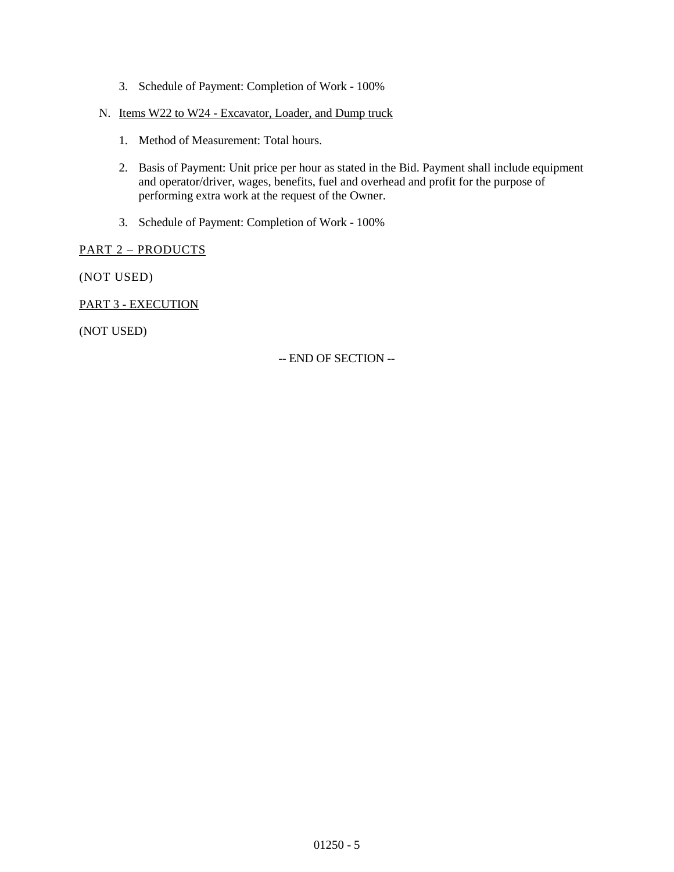- 3. Schedule of Payment: Completion of Work 100%
- N. Items W22 to W24 Excavator, Loader, and Dump truck
	- 1. Method of Measurement: Total hours.
	- 2. Basis of Payment: Unit price per hour as stated in the Bid. Payment shall include equipment and operator/driver, wages, benefits, fuel and overhead and profit for the purpose of performing extra work at the request of the Owner.
	- 3. Schedule of Payment: Completion of Work 100%

#### PART 2 – PRODUCTS

(NOT USED)

PART 3 - EXECUTION

(NOT USED)

-- END OF SECTION --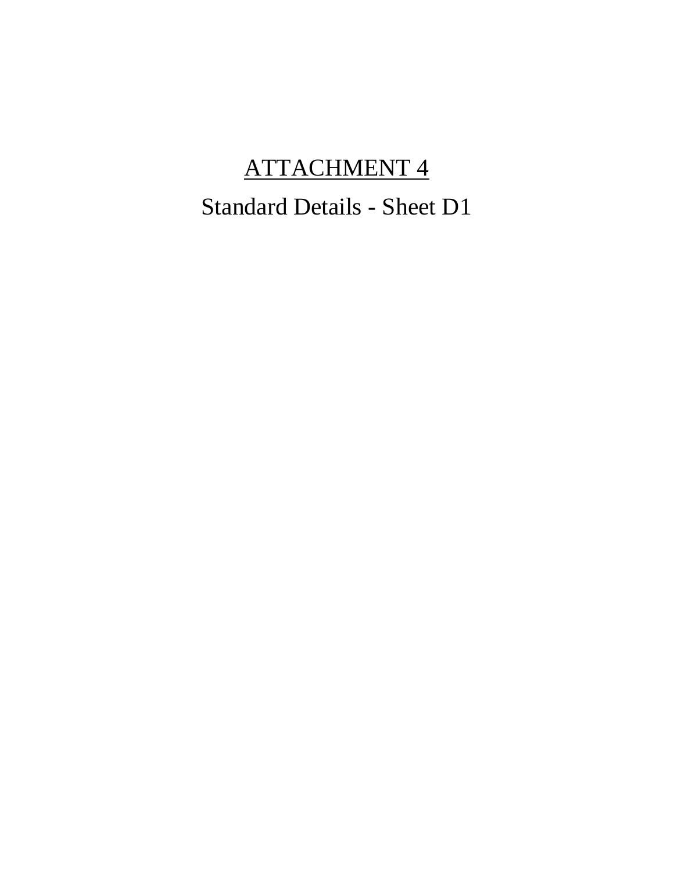## ATTACHMENT 4

## Standard Details - Sheet D1